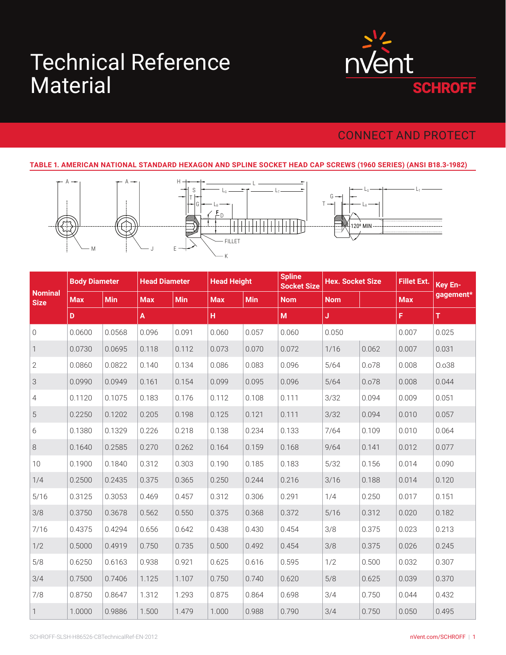# Material Technical Reference



# CONNECT AND PROTECT

#### **TABLE 1. AMERICAN NATIONAL STANDARD HEXAGON AND SPLINE SOCKET HEAD CAP SCREWS (1960 SERIES) (ANSI B18.3-1982)**



|                               | <b>Body Diameter</b> |            | <b>Head Diameter</b> |            | <b>Head Height</b> |            | <b>Spline</b><br><b>Socket Size</b> | <b>Hex. Socket Size</b> |       | <b>Fillet Ext.</b> | Key En-   |
|-------------------------------|----------------------|------------|----------------------|------------|--------------------|------------|-------------------------------------|-------------------------|-------|--------------------|-----------|
| <b>Nominal</b><br><b>Size</b> | <b>Max</b>           | <b>Min</b> | <b>Max</b>           | <b>Min</b> | <b>Max</b>         | <b>Min</b> | <b>Nom</b>                          | <b>Nom</b>              |       | <b>Max</b>         | gagement* |
|                               | D                    |            | A                    |            | H                  |            | M                                   | Ĵ                       |       | F.                 | T         |
| $\mathbf 0$                   | 0.0600               | 0.0568     | 0.096                | 0.091      | 0.060              | 0.057      | 0.060                               | 0.050                   |       | 0.007              | 0.025     |
| 1                             | 0.0730               | 0.0695     | 0.118                | 0.112      | 0.073              | 0.070      | 0.072                               | 1/16                    | 0.062 | 0.007              | 0.031     |
| $\mathbf{2}$                  | 0.0860               | 0.0822     | 0.140                | 0.134      | 0.086              | 0.083      | 0.096                               | 5/64                    | 0.078 | 0.008              | 0.038     |
| 3                             | 0.0990               | 0.0949     | 0.161                | 0.154      | 0.099              | 0.095      | 0.096                               | 5/64                    | 0.078 | 0.008              | 0.044     |
| 4                             | 0.1120               | 0.1075     | 0.183                | 0.176      | 0.112              | 0.108      | 0.111                               | 3/32                    | 0.094 | 0.009              | 0.051     |
| 5                             | 0.2250               | 0.1202     | 0.205                | 0.198      | 0.125              | 0.121      | 0.111                               | 3/32                    | 0.094 | 0.010              | 0.057     |
| 6                             | 0.1380               | 0.1329     | 0.226                | 0.218      | 0.138              | 0.234      | 0.133                               | 7/64                    | 0.109 | 0.010              | 0.064     |
| $\,8\,$                       | 0.1640               | 0.2585     | 0.270                | 0.262      | 0.164              | 0.159      | 0.168                               | 9/64                    | 0.141 | 0.012              | 0.077     |
| 10                            | 0.1900               | 0.1840     | 0.312                | 0.303      | 0.190              | 0.185      | 0.183                               | 5/32                    | 0.156 | 0.014              | 0.090     |
| 1/4                           | 0.2500               | 0.2435     | 0.375                | 0.365      | 0.250              | 0.244      | 0.216                               | 3/16                    | 0.188 | 0.014              | 0.120     |
| 5/16                          | 0.3125               | 0.3053     | 0.469                | 0.457      | 0.312              | 0.306      | 0.291                               | 1/4                     | 0.250 | 0.017              | 0.151     |
| 3/8                           | 0.3750               | 0.3678     | 0.562                | 0.550      | 0.375              | 0.368      | 0.372                               | 5/16                    | 0.312 | 0.020              | 0.182     |
| 7/16                          | 0.4375               | 0.4294     | 0.656                | 0.642      | 0.438              | 0.430      | 0.454                               | 3/8                     | 0.375 | 0.023              | 0.213     |
| 1/2                           | 0.5000               | 0.4919     | 0.750                | 0.735      | 0.500              | 0.492      | 0.454                               | 3/8                     | 0.375 | 0.026              | 0.245     |
| 5/8                           | 0.6250               | 0.6163     | 0.938                | 0.921      | 0.625              | 0.616      | 0.595                               | 1/2                     | 0.500 | 0.032              | 0.307     |
| 3/4                           | 0.7500               | 0.7406     | 1.125                | 1.107      | 0.750              | 0.740      | 0.620                               | 5/8                     | 0.625 | 0.039              | 0.370     |
| 7/8                           | 0.8750               | 0.8647     | 1.312                | 1.293      | 0.875              | 0.864      | 0.698                               | 3/4                     | 0.750 | 0.044              | 0.432     |
| $\mathbf{1}$                  | 1.0000               | 0.9886     | 1.500                | 1.479      | 1.000              | 0.988      | 0.790                               | 3/4                     | 0.750 | 0.050              | 0.495     |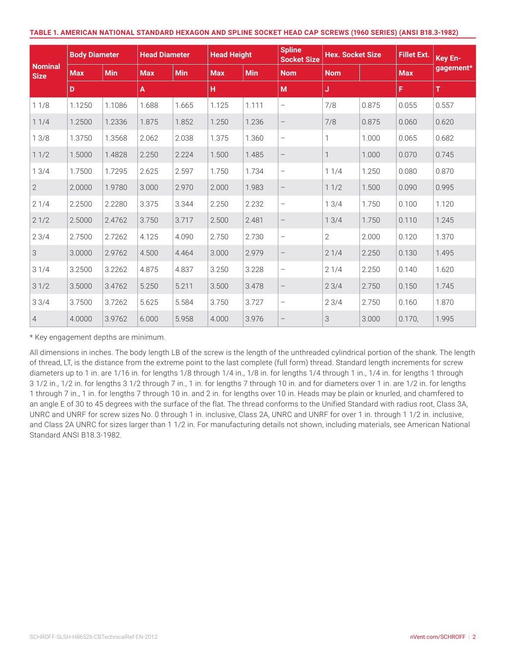| TABLE 1. AMERICAN NATIONAL STANDARD HEXAGON AND SPLINE SOCKET HEAD CAP SCREWS (1960 SERIES) (ANSI B18.3-1982) |  |
|---------------------------------------------------------------------------------------------------------------|--|
|---------------------------------------------------------------------------------------------------------------|--|

|                               | <b>Body Diameter</b> |            | <b>Head Diameter</b> |            | <b>Head Height</b> |       | <b>Spline</b><br><b>Socket Size</b> | <b>Hex. Socket Size</b> |       | <b>Fillet Ext.</b> | Key En-   |
|-------------------------------|----------------------|------------|----------------------|------------|--------------------|-------|-------------------------------------|-------------------------|-------|--------------------|-----------|
| <b>Nominal</b><br><b>Size</b> | <b>Max</b>           | <b>Min</b> | <b>Max</b>           | <b>Min</b> | <b>Max</b>         | Min   | <b>Nom</b>                          | <b>Nom</b>              |       | <b>Max</b>         | gagement* |
|                               | D                    |            | $\pmb{\mathsf{A}}$   |            | н                  |       | M                                   | J                       |       | F                  | T         |
| 11/8                          | 1.1250               | 1.1086     | 1.688                | 1.665      | 1.125              | 1.111 | $\qquad \qquad -$                   | 7/8                     | 0.875 | 0.055              | 0.557     |
| 11/4                          | 1.2500               | 1.2336     | 1.875                | 1.852      | 1.250              | 1.236 | $\qquad \qquad -$                   | 7/8                     | 0.875 | 0.060              | 0.620     |
| 13/8                          | 1.3750               | 1.3568     | 2.062                | 2.038      | 1.375              | 1.360 | $\overline{\phantom{m}}$            | 1                       | 1.000 | 0.065              | 0.682     |
| 11/2                          | 1.5000               | 1.4828     | 2.250                | 2.224      | 1.500              | 1.485 | $\overline{\phantom{m}}$            | $\mathbf{1}$            | 1.000 | 0.070              | 0.745     |
| 13/4                          | 1.7500               | 1.7295     | 2.625                | 2.597      | 1.750              | 1.734 | $\qquad \qquad -$                   | 11/4                    | 1.250 | 0.080              | 0.870     |
| $\overline{2}$                | 2.0000               | 1.9780     | 3.000                | 2.970      | 2.000              | 1.983 | $\qquad \qquad -$                   | 11/2                    | 1.500 | 0.090              | 0.995     |
| 21/4                          | 2.2500               | 2.2280     | 3.375                | 3.344      | 2.250              | 2.232 | $\overline{\phantom{m}}$            | 13/4                    | 1.750 | 0.100              | 1.120     |
| 21/2                          | 2.5000               | 2.4762     | 3.750                | 3.717      | 2.500              | 2.481 | $\overline{\phantom{m}}$            | 13/4                    | 1.750 | 0.110              | 1.245     |
| 23/4                          | 2.7500               | 2.7262     | 4.125                | 4.090      | 2.750              | 2.730 | $\overline{\phantom{m}}$            | $\mathbf{2}$            | 2.000 | 0.120              | 1.370     |
| 3                             | 3.0000               | 2.9762     | 4.500                | 4.464      | 3.000              | 2.979 | $\qquad \qquad -$                   | 21/4                    | 2.250 | 0.130              | 1.495     |
| 31/4                          | 3.2500               | 3.2262     | 4.875                | 4.837      | 3.250              | 3.228 | $\overline{\phantom{0}}$            | 21/4                    | 2.250 | 0.140              | 1.620     |
| 31/2                          | 3.5000               | 3.4762     | 5.250                | 5.211      | 3.500              | 3.478 | $\qquad \qquad -$                   | 23/4                    | 2.750 | 0.150              | 1.745     |
| 33/4                          | 3.7500               | 3.7262     | 5.625                | 5.584      | 3.750              | 3.727 | $\qquad \qquad -$                   | 23/4                    | 2.750 | 0.160              | 1.870     |
| $\overline{4}$                | 4.0000               | 3.9762     | 6.000                | 5.958      | 4.000              | 3.976 | $\overline{\phantom{0}}$            | 3                       | 3.000 | 0.170,             | 1.995     |

\* Key engagement depths are minimum.

All dimensions in inches. The body length LB of the screw is the length of the unthreaded cylindrical portion of the shank. The length of thread, LT, is the distance from the extreme point to the last complete (full form) thread. Standard length increments for screw diameters up to 1 in. are 1/16 in. for lengths 1/8 through 1/4 in., 1/8 in. for lengths 1/4 through 1 in., 1/4 in. for lengths 1 through 3 1/2 in., 1/2 in. for lengths 3 1/2 through 7 in., 1 in. for lengths 7 through 10 in. and for diameters over 1 in. are 1/2 in. for lengths 1 through 7 in., 1 in. for lengths 7 through 10 in. and 2 in. for lengths over 10 in. Heads may be plain or knurled, and chamfered to an angle E of 30 to 45 degrees with the surface of the flat. The thread conforms to the Unified Standard with radius root, Class 3A, UNRC and UNRF for screw sizes No. 0 through 1 in. inclusive, Class 2A, UNRC and UNRF for over 1 in. through 1 1/2 in. inclusive, and Class 2A UNRC for sizes larger than 1 1/2 in. For manufacturing details not shown, including materials, see American National Standard ANSI B18.3-1982.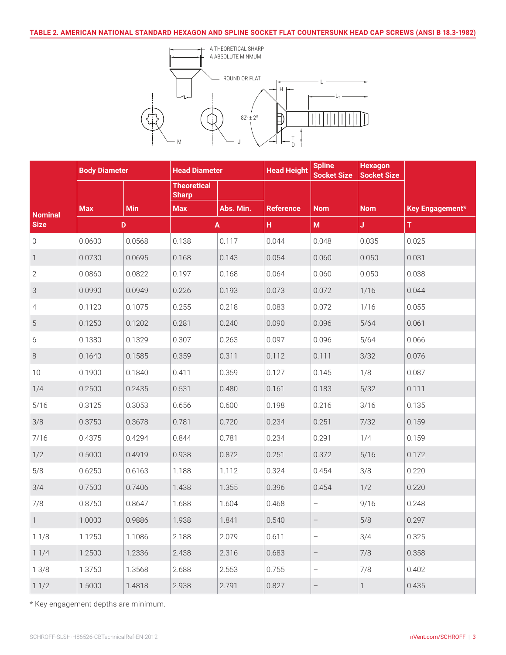

|                | <b>Body Diameter</b> |            | <b>Head Diameter</b>               |           | <b>Head Height</b> | <b>Spline</b><br><b>Socket Size</b> | <b>Hexagon</b><br><b>Socket Size</b> |                 |
|----------------|----------------------|------------|------------------------------------|-----------|--------------------|-------------------------------------|--------------------------------------|-----------------|
|                |                      |            | <b>Theoretical</b><br><b>Sharp</b> |           |                    |                                     |                                      |                 |
| <b>Nominal</b> | <b>Max</b>           | <b>Min</b> | <b>Max</b>                         | Abs. Min. | <b>Reference</b>   | <b>Nom</b>                          | <b>Nom</b>                           | Key Engagement* |
| <b>Size</b>    |                      | D          |                                    | A         | н.                 | $\mathsf{M}\xspace$                 | J.                                   | T.              |
| 0              | 0.0600               | 0.0568     | 0.138                              | 0.117     | 0.044              | 0.048                               | 0.035                                | 0.025           |
| 1              | 0.0730               | 0.0695     | 0.168                              | 0.143     | 0.054              | 0.060                               | 0.050                                | 0.031           |
| $\mathbf{2}$   | 0.0860               | 0.0822     | 0.197                              | 0.168     | 0.064              | 0.060                               | 0.050                                | 0.038           |
| 3              | 0.0990               | 0.0949     | 0.226                              | 0.193     | 0.073              | 0.072                               | 1/16                                 | 0.044           |
| 4              | 0.1120               | 0.1075     | 0.255                              | 0.218     | 0.083              | 0.072                               | 1/16                                 | 0.055           |
| 5              | 0.1250               | 0.1202     | 0.281                              | 0.240     | 0.090              | 0.096                               | $5/64$                               | 0.061           |
| 6              | 0.1380               | 0.1329     | 0.307                              | 0.263     | 0.097              | 0.096                               | 5/64                                 | 0.066           |
| 8              | 0.1640               | 0.1585     | 0.359                              | 0.311     | 0.112              | 0.111                               | 3/32                                 | 0.076           |
| $10$           | 0.1900               | 0.1840     | 0.411                              | 0.359     | 0.127              | 0.145                               | 1/8                                  | 0.087           |
| 1/4            | 0.2500               | 0.2435     | 0.531                              | 0.480     | 0.161              | 0.183                               | 5/32                                 | 0.111           |
| 5/16           | 0.3125               | 0.3053     | 0.656                              | 0.600     | 0.198              | 0.216                               | 3/16                                 | 0.135           |
| 3/8            | 0.3750               | 0.3678     | 0.781                              | 0.720     | 0.234              | 0.251                               | 7/32                                 | 0.159           |
| 7/16           | 0.4375               | 0.4294     | 0.844                              | 0.781     | 0.234              | 0.291                               | 1/4                                  | 0.159           |
| 1/2            | 0.5000               | 0.4919     | 0.938                              | 0.872     | 0.251              | 0.372                               | 5/16                                 | 0.172           |
| 5/8            | 0.6250               | 0.6163     | 1.188                              | 1.112     | 0.324              | 0.454                               | 3/8                                  | 0.220           |
| 3/4            | 0.7500               | 0.7406     | 1.438                              | 1.355     | 0.396              | 0.454                               | 1/2                                  | 0.220           |
| 7/8            | 0.8750               | 0.8647     | 1.688                              | 1.604     | 0.468              | $\qquad \qquad -$                   | 9/16                                 | 0.248           |
| 1              | 1.0000               | 0.9886     | 1.938                              | 1.841     | 0.540              | $\qquad \qquad -$                   | 5/8                                  | 0.297           |
| 11/8           | 1.1250               | 1.1086     | 2.188                              | 2.079     | 0.611              |                                     | 3/4                                  | 0.325           |
| 11/4           | 1.2500               | 1.2336     | 2.438                              | 2.316     | 0.683              | $\overline{\phantom{0}}$            | 7/8                                  | 0.358           |
| 13/8           | 1.3750               | 1.3568     | 2.688                              | 2.553     | 0.755              | $\qquad \qquad -$                   | 7/8                                  | 0.402           |
| 11/2           | 1.5000               | 1.4818     | 2.938                              | 2.791     | 0.827              | $\overline{\phantom{0}}$            | $\mathbf{1}$                         | 0.435           |

\* Key engagement depths are minimum.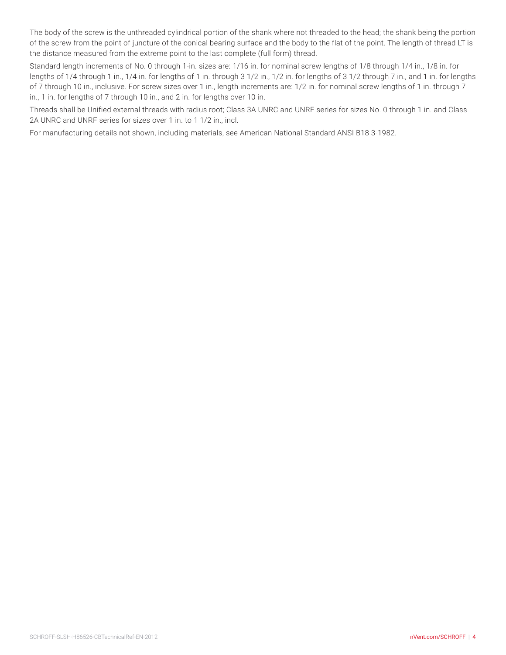The body of the screw is the unthreaded cylindrical portion of the shank where not threaded to the head; the shank being the portion of the screw from the point of juncture of the conical bearing surface and the body to the flat of the point. The length of thread LT is the distance measured from the extreme point to the last complete (full form) thread.

Standard length increments of No. 0 through 1-in. sizes are: 1/16 in. for nominal screw lengths of 1/8 through 1/4 in., 1/8 in. for lengths of 1/4 through 1 in., 1/4 in. for lengths of 1 in. through 3 1/2 in., 1/2 in. for lengths of 3 1/2 through 7 in., and 1 in. for lengths of 7 through 10 in., inclusive. For screw sizes over 1 in., length increments are: 1/2 in. for nominal screw lengths of 1 in. through 7 in., 1 in. for lengths of 7 through 10 in., and 2 in. for lengths over 10 in.

Threads shall be Unified external threads with radius root; Class 3A UNRC and UNRF series for sizes No. 0 through 1 in. and Class 2A UNRC and UNRF series for sizes over 1 in. to 1 1/2 in., incl.

For manufacturing details not shown, including materials, see American National Standard ANSI B18 3-1982.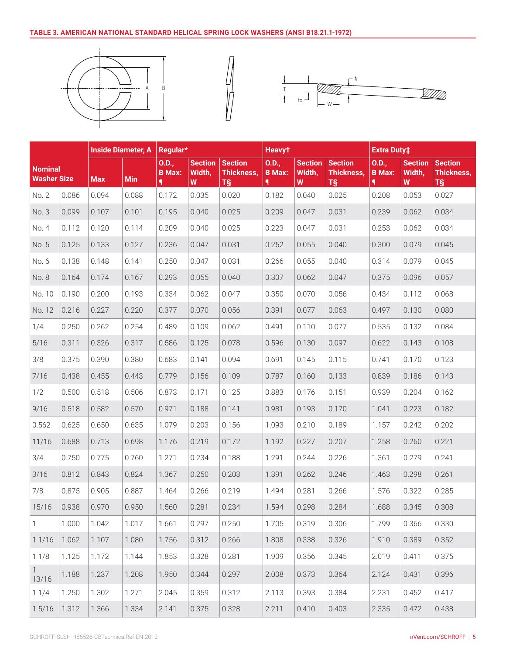#### **TABLE 3. AMERICAN NATIONAL STANDARD HELICAL SPRING LOCK WASHERS (ANSI B18.21.1-1972)**







|                                      |       |            | <b>Inside Diameter, A</b> | Regular*               |                               |                                    | <b>Heavyt</b>               |             |                                                   | <b>Extra Duty‡</b>          |                               |                                           |
|--------------------------------------|-------|------------|---------------------------|------------------------|-------------------------------|------------------------------------|-----------------------------|-------------|---------------------------------------------------|-----------------------------|-------------------------------|-------------------------------------------|
| <b>Nominal</b><br><b>Washer Size</b> |       | <b>Max</b> | <b>Min</b>                | 0.D.,<br><b>B</b> Max: | <b>Section</b><br>Width,<br>W | Section<br><b>Thickness,</b><br>T§ | 0.D.,<br><b>B</b> Max:<br>٩ | Width,<br>W | Section Section<br><b>Thickness,</b><br><b>TS</b> | 0.D.,<br><b>B</b> Max:<br>٩ | <b>Section</b><br>Width,<br>W | <b>Section</b><br><b>Thickness,</b><br>T§ |
| No. 2                                | 0.086 | 0.094      | 0.088                     | 0.172                  | 0.035                         | 0.020                              | 0.182                       | 0.040       | 0.025                                             | 0.208                       | 0.053                         | 0.027                                     |
| No. 3                                | 0.099 | 0.107      | 0.101                     | 0.195                  | 0.040                         | 0.025                              | 0.209                       | 0.047       | 0.031                                             | 0.239                       | 0.062                         | 0.034                                     |
| No. 4                                | 0.112 | 0.120      | 0.114                     | 0.209                  | 0.040                         | 0.025                              | 0.223                       | 0.047       | 0.031                                             | 0.253                       | 0.062                         | 0.034                                     |
| No. 5                                | 0.125 | 0.133      | 0.127                     | 0.236                  | 0.047                         | 0.031                              | 0.252                       | 0.055       | 0.040                                             | 0.300                       | 0.079                         | 0.045                                     |
| No. 6                                | 0.138 | 0.148      | 0.141                     | 0.250                  | 0.047                         | 0.031                              | 0.266                       | 0.055       | 0.040                                             | 0.314                       | 0.079                         | 0.045                                     |
| No. 8                                | 0.164 | 0.174      | 0.167                     | 0.293                  | 0.055                         | 0.040                              | 0.307                       | 0.062       | 0.047                                             | 0.375                       | 0.096                         | 0.057                                     |
| No. 10                               | 0.190 | 0.200      | 0.193                     | 0.334                  | 0.062                         | 0.047                              | 0.350                       | 0.070       | 0.056                                             | 0.434                       | 0.112                         | 0.068                                     |
| No. 12                               | 0.216 | 0.227      | 0.220                     | 0.377                  | 0.070                         | 0.056                              | 0.391                       | 0.077       | 0.063                                             | 0.497                       | 0.130                         | 0.080                                     |
| 1/4                                  | 0.250 | 0.262      | 0.254                     | 0.489                  | 0.109                         | 0.062                              | 0.491                       | 0.110       | 0.077                                             | 0.535                       | 0.132                         | 0.084                                     |
| 5/16                                 | 0.311 | 0.326      | 0.317                     | 0.586                  | 0.125                         | 0.078                              | 0.596                       | 0.130       | 0.097                                             | 0.622                       | 0.143                         | 0.108                                     |
| 3/8                                  | 0.375 | 0.390      | 0.380                     | 0.683                  | 0.141                         | 0.094                              | 0.691                       | 0.145       | 0.115                                             | 0.741                       | 0.170                         | 0.123                                     |
| 7/16                                 | 0.438 | 0.455      | 0.443                     | 0.779                  | 0.156                         | 0.109                              | 0.787                       | 0.160       | 0.133                                             | 0.839                       | 0.186                         | 0.143                                     |
| 1/2                                  | 0.500 | 0.518      | 0.506                     | 0.873                  | 0.171                         | 0.125                              | 0.883                       | 0.176       | 0.151                                             | 0.939                       | 0.204                         | 0.162                                     |
| 9/16                                 | 0.518 | 0.582      | 0.570                     | 0.971                  | 0.188                         | 0.141                              | 0.981                       | 0.193       | 0.170                                             | 1.041                       | 0.223                         | 0.182                                     |
| 0.562                                | 0.625 | 0.650      | 0.635                     | 1.079                  | 0.203                         | 0.156                              | 1.093                       | 0.210       | 0.189                                             | 1.157                       | 0.242                         | 0.202                                     |
| 11/16                                | 0.688 | 0.713      | 0.698                     | 1.176                  | 0.219                         | 0.172                              | 1.192                       | 0.227       | 0.207                                             | 1.258                       | 0.260                         | 0.221                                     |
| 3/4                                  | 0.750 | 0.775      | 0.760                     | 1.271                  | 0.234                         | 0.188                              | 1.291                       | 0.244       | 0.226                                             | 1.361                       | 0.279                         | 0.241                                     |
| 3/16                                 | 0.812 | 0.843      | 0.824                     | 1.367                  | 0.250                         | 0.203                              | 1.391                       | 0.262       | 0.246                                             | 1.463                       | 0.298                         | 0.261                                     |
| 7/8                                  | 0.875 | 0.905      | 0.887                     | 1.464                  | 0.266                         | 0.219                              | 1.494                       | 0.281       | 0.266                                             | 1.576                       | 0.322                         | 0.285                                     |
| 15/16                                | 0.938 | 0.970      | 0.950                     | 1.560                  | 0.281                         | 0.234                              | 1.594                       | 0.298       | 0.284                                             | 1.688                       | 0.345                         | 0.308                                     |
| $\mathbf{1}$                         | 1.000 | 1.042      | 1.017                     | 1.661                  | 0.297                         | 0.250                              | 1.705                       | 0.319       | 0.306                                             | 1.799                       | 0.366                         | 0.330                                     |
| 11/16                                | 1.062 | 1.107      | 1.080                     | 1.756                  | 0.312                         | 0.266                              | 1.808                       | 0.338       | 0.326                                             | 1.910                       | 0.389                         | 0.352                                     |
| 11/8                                 | 1.125 | 1.172      | 1.144                     | 1.853                  | 0.328                         | 0.281                              | 1.909                       | 0.356       | 0.345                                             | 2.019                       | 0.411                         | 0.375                                     |
| $\mathbf{1}$<br>13/16                | 1.188 | 1.237      | 1.208                     | 1.950                  | 0.344                         | 0.297                              | 2.008                       | 0.373       | 0.364                                             | 2.124                       | 0.431                         | 0.396                                     |
| 11/4                                 | 1.250 | 1.302      | 1.271                     | 2.045                  | 0.359                         | 0.312                              | 2.113                       | 0.393       | 0.384                                             | 2.231                       | 0.452                         | 0.417                                     |
| 15/16                                | 1.312 | 1.366      | 1.334                     | 2.141                  | 0.375                         | 0.328                              | 2.211                       | 0.410       | 0.403                                             | 2.335                       | 0.472                         | 0.438                                     |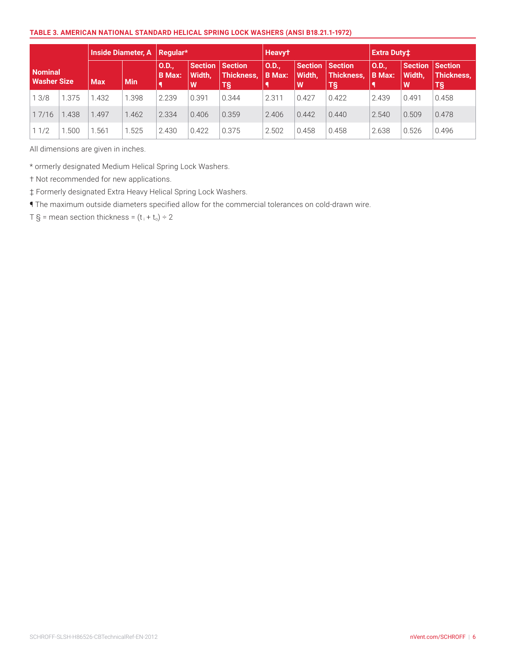#### **TABLE 3. AMERICAN NATIONAL STANDARD HELICAL SPRING LOCK WASHERS (ANSI B18.21.1-1972)**

| Inside Diameter, A   Regular*        |       |            |            |                       |                          | <b>Heavyt</b>                              |                        |                                | <b>Extra Duty‡</b>      |                       |                                       |                         |
|--------------------------------------|-------|------------|------------|-----------------------|--------------------------|--------------------------------------------|------------------------|--------------------------------|-------------------------|-----------------------|---------------------------------------|-------------------------|
| <b>Nominal</b><br><b>Washer Size</b> |       | <b>Max</b> | <b>Min</b> | O.D.<br><b>B</b> Max: | Section  <br>Width.<br>W | <b>Section</b><br><b>Thickness.</b><br>Τ§' | 0.D.,<br><b>B</b> Max: | Section Section<br>Width.<br>W | Thickness.<br><b>T§</b> | O.D.<br><b>B</b> Max: | Section Section<br><b>Width,</b><br>W | <b>Thickness.</b><br>T§ |
| 13/8                                 | 1.375 | .432       | .398       | 2.239                 | 0.391                    | 0.344                                      | 2.311                  | 0.427                          | 0.422                   | 2.439                 | 0.491                                 | 0.458                   |
| 17/16                                | 1.438 | .497       | 1.462      | 2.334                 | 0.406                    | 0.359                                      | 2.406                  | 0.442                          | 0.440                   | 2.540                 | 0.509                                 | 0.478                   |
| 11/2                                 | .500  | .561       | .525       | 2.430                 | 0.422                    | 0.375                                      | 2.502                  | 0.458                          | 0.458                   | 2.638                 | 0.526                                 | 0.496                   |

All dimensions are given in inches.

\* ormerly designated Medium Helical Spring Lock Washers.

† Not recommended for new applications.

‡ Formerly designated Extra Heavy Helical Spring Lock Washers.

¶ The maximum outside diameters specified allow for the commercial tolerances on cold-drawn wire.

T § = mean section thickness =  $(t_i + t_o) \div 2$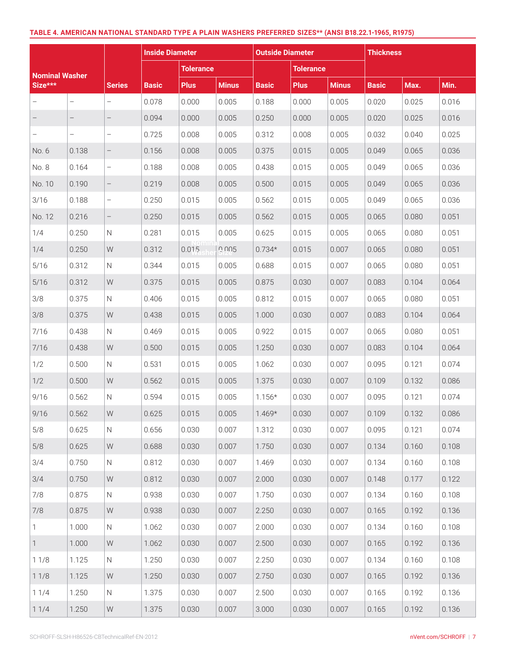#### **TABLE 4. AMERICAN NATIONAL STANDARD TYPE A PLAIN WASHERS PREFERRED SIZES\*\* (ANSI B18.22.1-1965, R1975)**

|                       |       |                          | <b>Inside Diameter</b> |                  |              | <b>Outside Diameter</b> |                  |              | <b>Thickness</b> |       |       |
|-----------------------|-------|--------------------------|------------------------|------------------|--------------|-------------------------|------------------|--------------|------------------|-------|-------|
| <b>Nominal Washer</b> |       |                          |                        | <b>Tolerance</b> |              |                         | <b>Tolerance</b> |              |                  |       |       |
| Size***               |       | <b>Series</b>            | <b>Basic</b>           | <b>Plus</b>      | <b>Minus</b> | <b>Basic</b>            | <b>Plus</b>      | <b>Minus</b> | <b>Basic</b>     | Max.  | Min.  |
|                       |       |                          | 0.078                  | 0.000            | 0.005        | 0.188                   | 0.000            | 0.005        | 0.020            | 0.025 | 0.016 |
|                       |       | $\qquad \qquad -$        | 0.094                  | 0.000            | 0.005        | 0.250                   | 0.000            | 0.005        | 0.020            | 0.025 | 0.016 |
|                       | -     | $\qquad \qquad -$        | 0.725                  | 0.008            | 0.005        | 0.312                   | 0.008            | 0.005        | 0.032            | 0.040 | 0.025 |
| No. 6                 | 0.138 | $\overline{\phantom{0}}$ | 0.156                  | 0.008            | 0.005        | 0.375                   | 0.015            | 0.005        | 0.049            | 0.065 | 0.036 |
| No. 8                 | 0.164 | $\qquad \qquad -$        | 0.188                  | 0.008            | 0.005        | 0.438                   | 0.015            | 0.005        | 0.049            | 0.065 | 0.036 |
| No. 10                | 0.190 | $\qquad \qquad -$        | 0.219                  | 0.008            | 0.005        | 0.500                   | 0.015            | 0.005        | 0.049            | 0.065 | 0.036 |
| 3/16                  | 0.188 | $\qquad \qquad -$        | 0.250                  | 0.015            | 0.005        | 0.562                   | 0.015            | 0.005        | 0.049            | 0.065 | 0.036 |
| No. 12                | 0.216 | $\overline{\phantom{0}}$ | 0.250                  | 0.015            | 0.005        | 0.562                   | 0.015            | 0.005        | 0.065            | 0.080 | 0.051 |
| 1/4                   | 0.250 | $\mathsf{N}$             | 0.281                  | 0.015            | 0.005        | 0.625                   | 0.015            | 0.005        | 0.065            | 0.080 | 0.051 |
| 1/4                   | 0.250 | ${\mathsf W}$            | 0.312                  | 0.015            | 0.005        | $0.734*$                | 0.015            | 0.007        | 0.065            | 0.080 | 0.051 |
| 5/16                  | 0.312 | N                        | 0.344                  | 0.015            | 0.005        | 0.688                   | 0.015            | 0.007        | 0.065            | 0.080 | 0.051 |
| 5/16                  | 0.312 | ${\mathsf W}$            | 0.375                  | 0.015            | 0.005        | 0.875                   | 0.030            | 0.007        | 0.083            | 0.104 | 0.064 |
| 3/8                   | 0.375 | $\mathsf{N}$             | 0.406                  | 0.015            | 0.005        | 0.812                   | 0.015            | 0.007        | 0.065            | 0.080 | 0.051 |
| 3/8                   | 0.375 | W                        | 0.438                  | 0.015            | 0.005        | 1.000                   | 0.030            | 0.007        | 0.083            | 0.104 | 0.064 |
| 7/16                  | 0.438 | N                        | 0.469                  | 0.015            | 0.005        | 0.922                   | 0.015            | 0.007        | 0.065            | 0.080 | 0.051 |
| 7/16                  | 0.438 | ${\mathsf W}$            | 0.500                  | 0.015            | 0.005        | 1.250                   | 0.030            | 0.007        | 0.083            | 0.104 | 0.064 |
| 1/2                   | 0.500 | $\mathsf{N}$             | 0.531                  | 0.015            | 0.005        | 1.062                   | 0.030            | 0.007        | 0.095            | 0.121 | 0.074 |
| 1/2                   | 0.500 | ${\sf W}$                | 0.562                  | 0.015            | 0.005        | 1.375                   | 0.030            | 0.007        | 0.109            | 0.132 | 0.086 |
| 9/16                  | 0.562 | $\mathsf{N}$             | 0.594                  | 0.015            | 0.005        | $1.156*$                | 0.030            | 0.007        | 0.095            | 0.121 | 0.074 |
| 9/16                  | 0.562 | W                        | 0.625                  | 0.015            | 0.005        | $1.469*$                | 0.030            | 0.007        | 0.109            | 0.132 | 0.086 |
| 5/8                   | 0.625 | $\mathsf{N}$             | 0.656                  | 0.030            | 0.007        | 1.312                   | 0.030            | 0.007        | 0.095            | 0.121 | 0.074 |
| 5/8                   | 0.625 | ${\sf W}$                | 0.688                  | 0.030            | 0.007        | 1.750                   | 0.030            | 0.007        | 0.134            | 0.160 | 0.108 |
| 3/4                   | 0.750 | $\mathsf{N}$             | 0.812                  | 0.030            | 0.007        | 1.469                   | 0.030            | 0.007        | 0.134            | 0.160 | 0.108 |
| 3/4                   | 0.750 | ${\mathsf W}$            | 0.812                  | 0.030            | 0.007        | 2.000                   | 0.030            | 0.007        | 0.148            | 0.177 | 0.122 |
| 7/8                   | 0.875 | $\mathsf{N}$             | 0.938                  | 0.030            | 0.007        | 1.750                   | 0.030            | 0.007        | 0.134            | 0.160 | 0.108 |
| 7/8                   | 0.875 | W                        | 0.938                  | 0.030            | 0.007        | 2.250                   | 0.030            | 0.007        | 0.165            | 0.192 | 0.136 |
| $\mathbf{1}$          | 1.000 | $\mathsf{N}$             | 1.062                  | 0.030            | 0.007        | 2.000                   | 0.030            | 0.007        | 0.134            | 0.160 | 0.108 |
| $\mathbf{1}$          | 1.000 | W                        | 1.062                  | 0.030            | 0.007        | 2.500                   | 0.030            | 0.007        | 0.165            | 0.192 | 0.136 |
| 11/8                  | 1.125 | $\mathsf{N}$             | 1.250                  | 0.030            | 0.007        | 2.250                   | 0.030            | 0.007        | 0.134            | 0.160 | 0.108 |
| 11/8                  | 1.125 | ${\sf W}$                | 1.250                  | 0.030            | 0.007        | 2.750                   | 0.030            | 0.007        | 0.165            | 0.192 | 0.136 |
| 11/4                  | 1.250 | N                        | 1.375                  | 0.030            | 0.007        | 2.500                   | 0.030            | 0.007        | 0.165            | 0.192 | 0.136 |
| 11/4                  | 1.250 | ${\mathsf W}$            | 1.375                  | 0.030            | 0.007        | 3.000                   | 0.030            | 0.007        | 0.165            | 0.192 | 0.136 |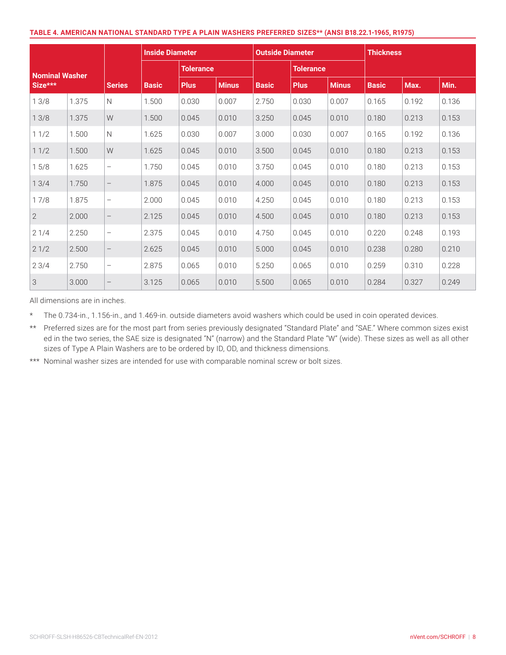#### **TABLE 4. AMERICAN NATIONAL STANDARD TYPE A PLAIN WASHERS PREFERRED SIZES\*\* (ANSI B18.22.1-1965, R1975)**

|                |       |                          | <b>Inside Diameter</b> |                  |              | <b>Outside Diameter</b> |                  |              | <b>Thickness</b> |       |       |
|----------------|-------|--------------------------|------------------------|------------------|--------------|-------------------------|------------------|--------------|------------------|-------|-------|
| Nominal Washer |       |                          |                        | <b>Tolerance</b> |              |                         | <b>Tolerance</b> |              |                  |       |       |
| $Size***$      |       | <b>Series</b>            | <b>Basic</b>           | <b>Plus</b>      | <b>Minus</b> | <b>Basic</b>            | <b>Plus</b>      | <b>Minus</b> | <b>Basic</b>     | Max.  | Min.  |
| 13/8           | 1.375 | $\mathsf{N}$             | 1.500                  | 0.030            | 0.007        | 2.750                   | 0.030            | 0.007        | 0.165            | 0.192 | 0.136 |
| 13/8           | 1.375 | W                        | 1.500                  | 0.045            | 0.010        | 3.250                   | 0.045            | 0.010        | 0.180            | 0.213 | 0.153 |
| 11/2           | 1.500 | $\mathsf{N}$             | 1.625                  | 0.030            | 0.007        | 3.000                   | 0.030            | 0.007        | 0.165            | 0.192 | 0.136 |
| 11/2           | 1.500 | W                        | 1.625                  | 0.045            | 0.010        | 3.500                   | 0.045            | 0.010        | 0.180            | 0.213 | 0.153 |
| 15/8           | 1.625 | $\qquad \qquad -$        | 1.750                  | 0.045            | 0.010        | 3.750                   | 0.045            | 0.010        | 0.180            | 0.213 | 0.153 |
| 13/4           | 1.750 | $\overline{\phantom{m}}$ | 1.875                  | 0.045            | 0.010        | 4.000                   | 0.045            | 0.010        | 0.180            | 0.213 | 0.153 |
| 17/8           | 1.875 | $\qquad \qquad -$        | 2.000                  | 0.045            | 0.010        | 4.250                   | 0.045            | 0.010        | 0.180            | 0.213 | 0.153 |
| $\overline{2}$ | 2.000 | $\overline{\phantom{m}}$ | 2.125                  | 0.045            | 0.010        | 4.500                   | 0.045            | 0.010        | 0.180            | 0.213 | 0.153 |
| 21/4           | 2.250 | $\overline{\phantom{m}}$ | 2.375                  | 0.045            | 0.010        | 4.750                   | 0.045            | 0.010        | 0.220            | 0.248 | 0.193 |
| 21/2           | 2.500 | $\overline{\phantom{m}}$ | 2.625                  | 0.045            | 0.010        | 5.000                   | 0.045            | 0.010        | 0.238            | 0.280 | 0.210 |
| 23/4           | 2.750 | $\qquad \qquad -$        | 2.875                  | 0.065            | 0.010        | 5.250                   | 0.065            | 0.010        | 0.259            | 0.310 | 0.228 |
| 3              | 3.000 | $\overline{\phantom{m}}$ | 3.125                  | 0.065            | 0.010        | 5.500                   | 0.065            | 0.010        | 0.284            | 0.327 | 0.249 |

All dimensions are in inches.

\* The 0.734-in., 1.156-in., and 1.469-in. outside diameters avoid washers which could be used in coin operated devices.

\*\* Preferred sizes are for the most part from series previously designated "Standard Plate" and "SAE." Where common sizes exist ed in the two series, the SAE size is designated "N" (narrow) and the Standard Plate "W" (wide). These sizes as well as all other sizes of Type A Plain Washers are to be ordered by ID, OD, and thickness dimensions.

\*\*\* Nominal washer sizes are intended for use with comparable nominal screw or bolt sizes.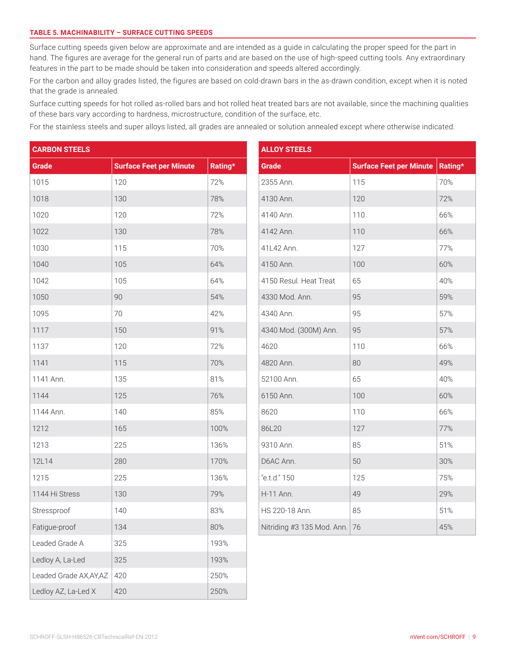#### **TABLE 5. MACHINABILITY – SURFACE CUTTING SPEEDS**

Surface cutting speeds given below are approximate and are intended as a guide in calculating the proper speed for the part in hand. The figures are average for the general run of parts and are based on the use of high-speed cutting tools. Any extraordinary features in the part to be made should be taken into consideration and speeds altered accordingly.

For the carbon and alloy grades listed, the figures are based on cold-drawn bars in the as-drawn condition, except when it is noted that the grade is annealed.

Surface cutting speeds for hot rolled as-rolled bars and hot rolled heat treated bars are not available, since the machining qualities of these bars vary according to hardness, microstructure, condition of the surface, etc.

For the stainless steels and super alloys listed, all grades are annealed or solution annealed except where otherwise indicated.

| <b>CARBON STEELS</b>    |                                |         | <b>ALLOY STEELS</b>           |                                |         |  |  |
|-------------------------|--------------------------------|---------|-------------------------------|--------------------------------|---------|--|--|
| <b>Grade</b>            | <b>Surface Feet per Minute</b> | Rating* | Grade                         | <b>Surface Feet per Minute</b> | Rating* |  |  |
| 1015                    | 120                            | 72%     | 2355 Ann.                     | 115                            | 70%     |  |  |
| 1018                    | 130                            | 78%     | 4130 Ann.                     | 120                            | 72%     |  |  |
| 1020                    | 120                            | 72%     | 4140 Ann.                     | 110                            | 66%     |  |  |
| 1022                    | 130                            | 78%     | 4142 Ann.                     | 110                            | 66%     |  |  |
| 1030                    | 115                            | 70%     | 41L42 Ann.                    | 127                            | 77%     |  |  |
| 1040                    | 105                            | 64%     | 4150 Ann.                     | 100                            | 60%     |  |  |
| 1042                    | 105                            | 64%     | 4150 Resul. Heat Treat        | 65                             | 40%     |  |  |
| 1050                    | 90                             | 54%     | 4330 Mod. Ann.                | 95                             | 59%     |  |  |
| 1095                    | 70                             | 42%     | 4340 Ann.                     | 95                             | 57%     |  |  |
| 1117                    | 150                            | 91%     | 4340 Mod. (300M) Ann.         | 95                             | 57%     |  |  |
| 1137                    | 120                            | 72%     | 4620                          | 110                            | 66%     |  |  |
| 1141                    | 115                            | 70%     | 4820 Ann.                     | 80                             | 49%     |  |  |
| 1141 Ann.               | 135                            | 81%     | 52100 Ann.                    | 65                             | 40%     |  |  |
| 1144                    | 125                            | 76%     | 6150 Ann.                     | 100                            | 60%     |  |  |
| 1144 Ann.               | 140                            | 85%     | 8620                          | 110                            | 66%     |  |  |
| 1212                    | 165                            | 100%    | 86L20                         | 127                            | 77%     |  |  |
| 1213                    | 225                            | 136%    | 9310 Ann.                     | 85                             | 51%     |  |  |
| 12L14                   | 280                            | 170%    | D6AC Ann.                     | 50                             | 30%     |  |  |
| 1215                    | 225                            | 136%    | "e.t.d." 150                  | 125                            | 75%     |  |  |
| 1144 Hi Stress          | 130                            | 79%     | H-11 Ann.                     | 49                             | 29%     |  |  |
| Stressproof             | 140                            | 83%     | HS 220-18 Ann.                | 85                             | 51%     |  |  |
| Fatigue-proof           | 134                            | 80%     | Nitriding #3 135 Mod. Ann. 76 |                                | 45%     |  |  |
| Leaded Grade A          | 325                            | 193%    |                               |                                |         |  |  |
| Ledloy A, La-Led        | 325                            | 193%    |                               |                                |         |  |  |
| Leaded Grade AX, AY, AZ | 420                            | 250%    |                               |                                |         |  |  |
| Ledloy AZ, La-Led X     | 420                            | 250%    |                               |                                |         |  |  |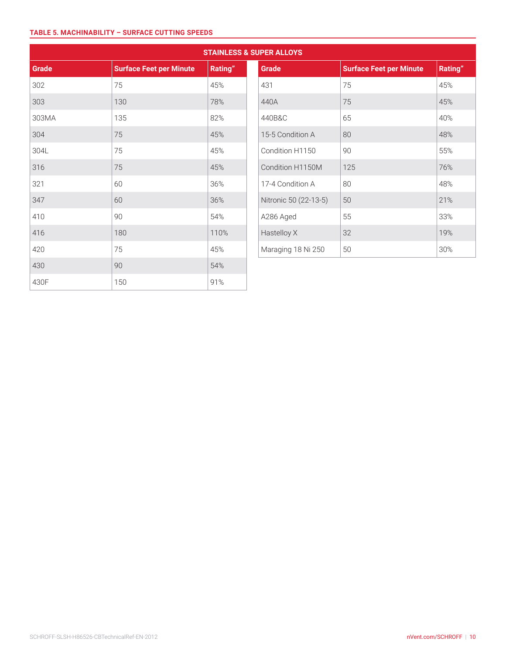#### **TABLE 5. MACHINABILITY – SURFACE CUTTING SPEEDS**

|       |                                |         | <b>STAINLESS &amp; SUPER ALLOYS</b> |                                |
|-------|--------------------------------|---------|-------------------------------------|--------------------------------|
| Grade | <b>Surface Feet per Minute</b> | Rating" | Grade                               | <b>Surface Feet per Minute</b> |
| 302   | 75                             | 45%     | 431                                 | 75                             |
| 303   | 130                            | 78%     | 440A                                | 75                             |
| 303MA | 135                            | 82%     | 440B&C                              | 65                             |
| 304   | 75                             | 45%     | 15-5 Condition A                    | 80                             |
| 304L  | 75                             | 45%     | Condition H1150                     | 90                             |
| 316   | 75                             | 45%     | Condition H1150M                    | 125                            |
| 321   | 60                             | 36%     | 17-4 Condition A                    | 80                             |
| 347   | 60                             | 36%     | Nitronic 50 (22-13-5)               | 50                             |
| 410   | 90                             | 54%     | A286 Aged                           | 55                             |
| 416   | 180                            | 110%    | Hastelloy X                         | 32                             |
| 420   | 75                             | 45%     | Maraging 18 Ni 250                  | 50                             |
| 430   | 90                             | 54%     |                                     |                                |
| 430F  | 150                            | 91%     |                                     |                                |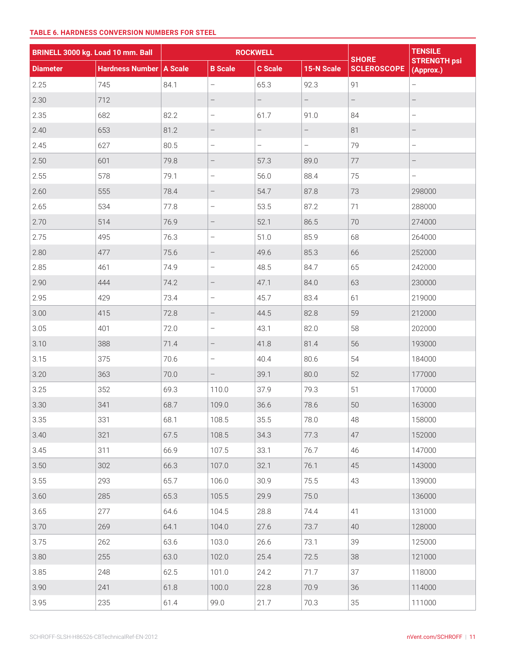|                 | BRINELL 3000 kg. Load 10 mm. Ball |      |                                 | <b>ROCKWELL</b>          |                          |                                    | <b>TENSILE</b>                   |  |
|-----------------|-----------------------------------|------|---------------------------------|--------------------------|--------------------------|------------------------------------|----------------------------------|--|
| <b>Diameter</b> | Hardness Number   A Scale         |      | <b>B</b> Scale                  | <b>C</b> Scale           | 15-N Scale               | <b>SHORE</b><br><b>SCLEROSCOPE</b> | <b>STRENGTH psi</b><br>(Approx.) |  |
| 2.25            | 745                               | 84.1 | $\overline{\phantom{0}}$        | 65.3                     | 92.3                     | 91                                 | $\overline{\phantom{0}}$         |  |
| 2.30            | 712                               |      | $\qquad \qquad -$               | $\qquad \qquad -$        | $\overline{\phantom{0}}$ | $\overline{\phantom{0}}$           |                                  |  |
| 2.35            | 682                               | 82.2 | $\qquad \qquad -$               | 61.7                     | 91.0                     | 84                                 | $\qquad \qquad -$                |  |
| 2.40            | 653                               | 81.2 | $\qquad \qquad -$               | $\overline{\phantom{0}}$ | $\overline{\phantom{0}}$ | 81                                 | $\qquad \qquad -$                |  |
| 2.45            | 627                               | 80.5 | $\qquad \qquad -$               | $\qquad \qquad -$        | $\qquad \qquad -$        | 79                                 | $\overline{\phantom{m}}$         |  |
| 2.50            | 601                               | 79.8 | $\overline{\phantom{a}}$        | 57.3                     | 89.0                     | 77                                 | $\qquad \qquad -$                |  |
| 2.55            | 578                               | 79.1 | $\qquad \qquad -$               | 56.0                     | 88.4                     | 75                                 | $\qquad \qquad -$                |  |
| 2.60            | 555                               | 78.4 | $\qquad \qquad -$               | 54.7                     | 87.8                     | 73                                 | 298000                           |  |
| 2.65            | 534                               | 77.8 | $\overline{a}$                  | 53.5                     | 87.2                     | 71                                 | 288000                           |  |
| 2.70            | 514                               | 76.9 | $\overline{\phantom{a}}$        | 52.1                     | 86.5                     | 70                                 | 274000                           |  |
| 2.75            | 495                               | 76.3 | $\overline{a}$                  | 51.0                     | 85.9                     | 68                                 | 264000                           |  |
| 2.80            | 477                               | 75.6 | $\qquad \qquad -$               | 49.6                     | 85.3                     | 66                                 | 252000                           |  |
| 2.85            | 461                               | 74.9 | $\overline{\phantom{0}}$        | 48.5                     | 84.7                     | 65                                 | 242000                           |  |
| 2.90            | 444                               | 74.2 | $\qquad \qquad -$               | 47.1                     | 84.0                     | 63                                 | 230000                           |  |
| 2.95            | 429                               | 73.4 | $\overline{\phantom{0}}$        | 45.7                     | 83.4                     | 61                                 | 219000                           |  |
| 3.00            | 415                               | 72.8 | $\qquad \qquad -$               | 44.5                     | 82.8                     | 59                                 | 212000                           |  |
| 3.05            | 401                               | 72.0 | $\overline{\phantom{0}}$        | 43.1                     | 82.0                     | 58                                 | 202000                           |  |
| 3.10            | 388                               | 71.4 | $\qquad \qquad -$               | 41.8                     | 81.4                     | 56                                 | 193000                           |  |
| 3.15            | 375                               | 70.6 | $\qquad \qquad -$               | 40.4                     | 80.6                     | 54                                 | 184000                           |  |
| 3.20            | 363                               | 70.0 | $\hspace{0.1mm}-\hspace{0.1mm}$ | 39.1                     | 80.0                     | 52                                 | 177000                           |  |
| 3.25            | 352                               | 69.3 | 110.0                           | 37.9                     | 79.3                     | 51                                 | 170000                           |  |
| 3.30            | 341                               | 68.7 | 109.0                           | 36.6                     | 78.6                     | 50                                 | 163000                           |  |
| 3.35            | 331                               | 68.1 | 108.5                           | 35.5                     | 78.0                     | 48                                 | 158000                           |  |
| 3.40            | 321                               | 67.5 | 108.5                           | 34.3                     | 77.3                     | 47                                 | 152000                           |  |
| 3.45            | 311                               | 66.9 | 107.5                           | 33.1                     | 76.7                     | 46                                 | 147000                           |  |
| 3.50            | 302                               | 66.3 | 107.0                           | 32.1                     | 76.1                     | 45                                 | 143000                           |  |
| 3.55            | 293                               | 65.7 | 106.0                           | 30.9                     | 75.5                     | 43                                 | 139000                           |  |
| 3.60            | 285                               | 65.3 | 105.5                           | 29.9                     | 75.0                     |                                    | 136000                           |  |
| 3.65            | 277                               | 64.6 | 104.5                           | 28.8                     | 74.4                     | 41                                 | 131000                           |  |
| 3.70            | 269                               | 64.1 | 104.0                           | 27.6                     | 73.7                     | 40                                 | 128000                           |  |
| 3.75            | 262                               | 63.6 | 103.0                           | 26.6                     | 73.1                     | 39                                 | 125000                           |  |
| 3.80            | 255                               | 63.0 | 102.0                           | 25.4                     | 72.5                     | 38                                 | 121000                           |  |
| 3.85            | 248                               | 62.5 | 101.0                           | 24.2                     | 71.7                     | 37                                 | 118000                           |  |
| 3.90            | 241                               | 61.8 | 100.0                           | 22.8                     | 70.9                     | 36                                 | 114000                           |  |
| 3.95            | 235                               | 61.4 | 99.0                            | 21.7                     | 70.3                     | $35\,$                             | 111000                           |  |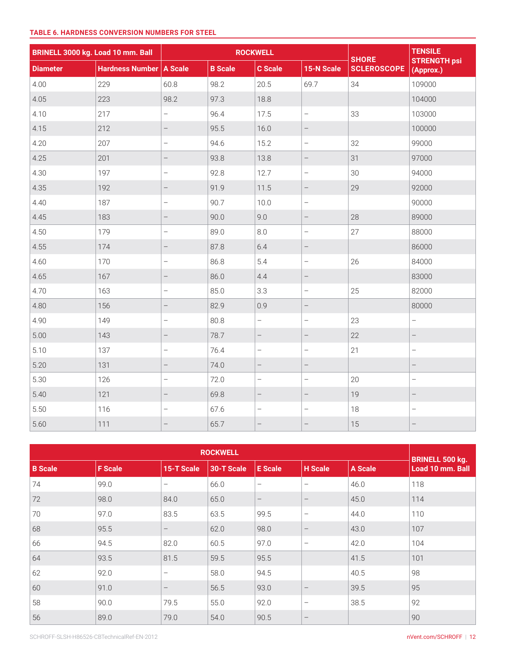| BRINELL 3000 kg. Load 10 mm. Ball |                           |                          |                | <b>ROCKWELL</b>          |                          | <b>SHORE</b>       | <b>TENSILE</b>                   |
|-----------------------------------|---------------------------|--------------------------|----------------|--------------------------|--------------------------|--------------------|----------------------------------|
| <b>Diameter</b>                   | Hardness Number   A Scale |                          | <b>B</b> Scale | <b>C</b> Scale           | 15-N Scale               | <b>SCLEROSCOPE</b> | <b>STRENGTH psi</b><br>(Approx.) |
| 4.00                              | 229                       | 60.8                     | 98.2           | 20.5                     | 69.7                     | 34                 | 109000                           |
| 4.05                              | 223                       | 98.2                     | 97.3           | 18.8                     |                          |                    | 104000                           |
| 4.10                              | 217                       | $\overline{\phantom{0}}$ | 96.4           | 17.5                     | $\overline{\phantom{a}}$ | 33                 | 103000                           |
| 4.15                              | 212                       | $\overline{\phantom{0}}$ | 95.5           | 16.0                     | $\overline{\phantom{0}}$ |                    | 100000                           |
| 4.20                              | 207                       | $\overline{\phantom{0}}$ | 94.6           | 15.2                     | $\qquad \qquad -$        | 32                 | 99000                            |
| 4.25                              | 201                       | $\qquad \qquad -$        | 93.8           | 13.8                     | $\overline{\phantom{0}}$ | 31                 | 97000                            |
| 4.30                              | 197                       | $\overline{a}$           | 92.8           | 12.7                     | $\qquad \qquad -$        | 30                 | 94000                            |
| 4.35                              | 192                       | $\qquad \qquad -$        | 91.9           | 11.5                     | $\qquad \qquad -$        | 29                 | 92000                            |
| 4.40                              | 187                       | $\qquad \qquad -$        | 90.7           | 10.0                     | $\overline{\phantom{a}}$ |                    | 90000                            |
| 4.45                              | 183                       | $\overline{\phantom{0}}$ | 90.0           | 9.0                      | $\qquad \qquad -$        | 28                 | 89000                            |
| 4.50                              | 179                       | $\overline{\phantom{0}}$ | 89.0           | 8.0                      | $\overline{\phantom{0}}$ | 27                 | 88000                            |
| 4.55                              | 174                       | $\overline{\phantom{0}}$ | 87.8           | 6.4                      | $\qquad \qquad -$        |                    | 86000                            |
| 4.60                              | 170                       | $\bar{ }$                | 86.8           | 5.4                      | $\qquad \qquad -$        | 26                 | 84000                            |
| 4.65                              | 167                       | $\qquad \qquad -$        | 86.0           | 4.4                      | $\overline{\phantom{0}}$ |                    | 83000                            |
| 4.70                              | 163                       | $\qquad \qquad -$        | 85.0           | 3.3                      | $\overline{\phantom{m}}$ | 25                 | 82000                            |
| 4.80                              | 156                       |                          | 82.9           | 0.9                      |                          |                    | 80000                            |
| 4.90                              | 149                       | $\overline{\phantom{0}}$ | 80.8           | $\overline{a}$           | $\qquad \qquad -$        | 23                 | $\overline{a}$                   |
| 5.00                              | 143                       | $\qquad \qquad -$        | 78.7           | $\overline{\phantom{a}}$ | $\overline{\phantom{a}}$ | 22                 | $\overline{\phantom{a}}$         |
| 5.10                              | 137                       | $\overline{\phantom{0}}$ | 76.4           | $\overline{\phantom{m}}$ | $\qquad \qquad -$        | 21                 | $\qquad \qquad -$                |
| 5.20                              | 131                       | $\qquad \qquad -$        | 74.0           | $\qquad \qquad -$        | $\qquad \qquad -$        |                    | $\qquad \qquad -$                |
| 5.30                              | 126                       | $\overline{\phantom{0}}$ | 72.0           | $\overline{\phantom{0}}$ | $\qquad \qquad -$        | 20                 | $\qquad \qquad -$                |
| 5.40                              | 121                       | $\overline{\phantom{0}}$ | 69.8           | $\qquad \qquad -$        | $\overline{\phantom{0}}$ | 19                 | $\overline{\phantom{0}}$         |
| 5.50                              | 116                       | $\overline{\phantom{0}}$ | 67.6           | $\overline{\phantom{0}}$ | $\qquad \qquad -$        | 18                 | $\overline{a}$                   |
| 5.60                              | 111                       | $-$                      | 65.7           | $\qquad \qquad -$        | $\qquad \qquad -$        | 15                 | $\qquad \qquad -$                |

| <b>ROCKWELL</b> |                |                          |            |                          |                          |                |                                                   |  |  |
|-----------------|----------------|--------------------------|------------|--------------------------|--------------------------|----------------|---------------------------------------------------|--|--|
| <b>B</b> Scale  | <b>F</b> Scale | 15-T Scale               | 30-T Scale | <b>E</b> Scale           | <b>H</b> Scale           | <b>A Scale</b> | <b>BRINELL 500 kg.</b><br><b>Load 10 mm. Ball</b> |  |  |
| 74              | 99.0           | $\overline{\phantom{a}}$ | 66.0       | $\overline{\phantom{m}}$ | $\overline{\phantom{0}}$ | 46.0           | 118                                               |  |  |
| 72              | 98.0           | 84.0                     | 65.0       | $\overline{\phantom{m}}$ | $\overline{\phantom{m}}$ | 45.0           | 114                                               |  |  |
| 70              | 97.0           | 83.5                     | 63.5       | 99.5                     | $\qquad \qquad -$        | 44.0           | 110                                               |  |  |
| 68              | 95.5           | $\overline{\phantom{m}}$ | 62.0       | 98.0                     | $\overline{\phantom{m}}$ | 43.0           | 107                                               |  |  |
| 66              | 94.5           | 82.0                     | 60.5       | 97.0                     | $\overline{\phantom{m}}$ | 42.0           | 104                                               |  |  |
| 64              | 93.5           | 81.5                     | 59.5       | 95.5                     |                          | 41.5           | 101                                               |  |  |
| 62              | 92.0           | $\overline{\phantom{a}}$ | 58.0       | 94.5                     |                          | 40.5           | 98                                                |  |  |
| 60              | 91.0           | $\overline{\phantom{m}}$ | 56.5       | 93.0                     | $\qquad \qquad -$        | 39.5           | 95                                                |  |  |
| 58              | 90.0           | 79.5                     | 55.0       | 92.0                     | $\qquad \qquad -$        | 38.5           | 92                                                |  |  |
| 56              | 89.0           | 79.0                     | 54.0       | 90.5                     | $\overline{\phantom{m}}$ |                | 90                                                |  |  |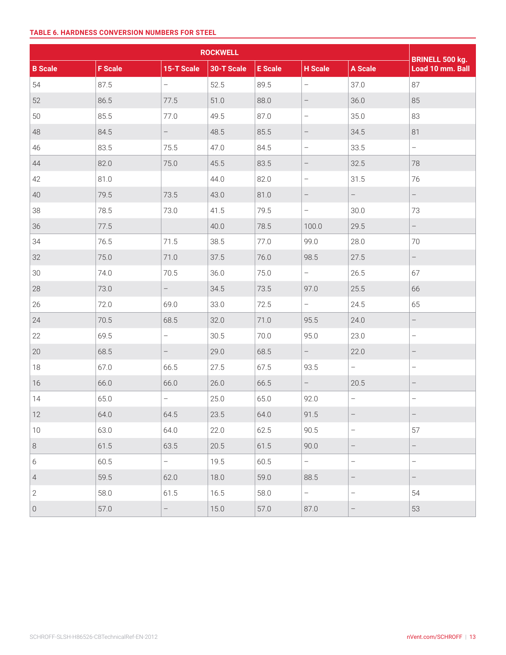|                     |                | <b>BRINELL 500 kg.</b>   |            |                |                          |                          |                          |
|---------------------|----------------|--------------------------|------------|----------------|--------------------------|--------------------------|--------------------------|
| <b>B</b> Scale      | <b>F</b> Scale | 15-T Scale               | 30-T Scale | <b>E</b> Scale | <b>H</b> Scale           | <b>A Scale</b>           | Load 10 mm. Ball         |
| 54                  | 87.5           | $\overline{\phantom{0}}$ | 52.5       | 89.5           | $\overline{\phantom{0}}$ | 37.0                     | 87                       |
| 52                  | 86.5           | 77.5                     | 51.0       | 88.0           | $\qquad \qquad -$        | 36.0                     | 85                       |
| 50                  | 85.5           | 77.0                     | 49.5       | 87.0           | $\overline{\phantom{m}}$ | 35.0                     | 83                       |
| 48                  | 84.5           | $\overline{\phantom{0}}$ | 48.5       | 85.5           | $\overline{\phantom{0}}$ | 34.5                     | 81                       |
| 46                  | 83.5           | 75.5                     | 47.0       | 84.5           | $\overline{\phantom{0}}$ | 33.5                     | $\overline{\phantom{0}}$ |
| 44                  | 82.0           | 75.0                     | 45.5       | 83.5           | $\overline{\phantom{a}}$ | 32.5                     | 78                       |
| 42                  | 81.0           |                          | 44.0       | 82.0           | $\overline{\phantom{a}}$ | 31.5                     | 76                       |
| 40                  | 79.5           | 73.5                     | 43.0       | 81.0           | $\qquad \qquad -$        | $\overline{\phantom{0}}$ | $\qquad \qquad -$        |
| 38                  | 78.5           | 73.0                     | 41.5       | 79.5           | $\overline{\phantom{0}}$ | 30.0                     | 73                       |
| 36                  | 77.5           |                          | 40.0       | 78.5           | 100.0                    | 29.5                     | $\qquad \qquad -$        |
| 34                  | 76.5           | 71.5                     | 38.5       | 77.0           | 99.0                     | 28.0                     | 70                       |
| 32                  | 75.0           | 71.0                     | 37.5       | 76.0           | 98.5                     | 27.5                     | $\overline{\phantom{0}}$ |
| 30                  | 74.0           | 70.5                     | 36.0       | 75.0           | $\bar{ }$                | 26.5                     | 67                       |
| 28                  | 73.0           | $\overline{\phantom{0}}$ | 34.5       | 73.5           | 97.0                     | 25.5                     | 66                       |
| 26                  | 72.0           | 69.0                     | 33.0       | 72.5           | $ \,$                    | 24.5                     | 65                       |
| 24                  | 70.5           | 68.5                     | 32.0       | 71.0           | 95.5                     | 24.0                     | $\overline{\phantom{0}}$ |
| 22                  | 69.5           | $\overline{\phantom{0}}$ | 30.5       | 70.0           | 95.0                     | 23.0                     | $\overline{\phantom{0}}$ |
| 20                  | 68.5           | $\overline{\phantom{0}}$ | 29.0       | 68.5           | $\overline{\phantom{0}}$ | 22.0                     | $\overline{\phantom{m}}$ |
| 18                  | 67.0           | 66.5                     | 27.5       | 67.5           | 93.5                     | $\equiv$                 | $\qquad \qquad -$        |
| 16                  | 66.0           | 66.0                     | 26.0       | 66.5           | $\qquad \qquad -$        | 20.5                     | $\qquad \qquad -$        |
| 14                  | 65.0           | $\qquad \qquad -$        | 25.0       | 65.0           | 92.0                     | $\overline{\phantom{m}}$ | $\qquad \qquad -$        |
| 12                  | 64.0           | 64.5                     | 23.5       | 64.0           | 91.5                     |                          | $\overline{\phantom{m}}$ |
| 10                  | 63.0           | 64.0                     | 22.0       | 62.5           | 90.5                     | $\overline{\phantom{a}}$ | 57                       |
| 8                   | 61.5           | 63.5                     | 20.5       | 61.5           | 90.0                     | $\qquad \qquad -$        | $\frac{1}{\sqrt{2}}$     |
| 6                   | 60.5           | $\equiv$                 | 19.5       | 60.5           | $\equiv$                 | $\overline{\phantom{0}}$ | $\qquad \qquad -$        |
| $\overline{4}$      | 59.5           | 62.0                     | 18.0       | 59.0           | 88.5                     | $\qquad \qquad -$        | $\qquad \qquad -$        |
| $\mathbf{2}$        | 58.0           | 61.5                     | 16.5       | 58.0           | $\equiv$                 | $\overline{\phantom{0}}$ | 54                       |
| $\mathsf{O}\xspace$ | 57.0           | $\equiv$                 | 15.0       | 57.0           | 87.0                     | $\overline{\phantom{m}}$ | 53                       |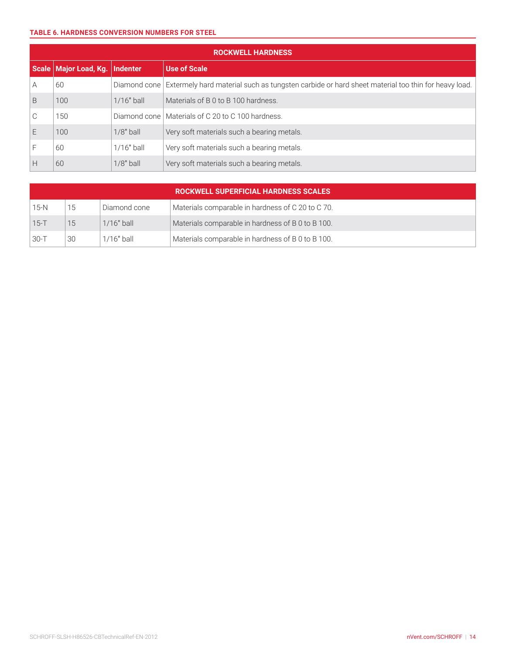|              | <b>ROCKWELL HARDNESS</b> |                 |                                                                                                  |  |  |  |  |
|--------------|--------------------------|-----------------|--------------------------------------------------------------------------------------------------|--|--|--|--|
|              | Scale   Major Load, Kg.  | <b>Indenter</b> | <b>Use of Scale</b>                                                                              |  |  |  |  |
| A            | 60                       | Diamond cone    | Extermely hard material such as tungsten carbide or hard sheet material too thin for heavy load. |  |  |  |  |
| B            | 100                      | $1/16"$ ball    | Materials of B 0 to B 100 hardness.                                                              |  |  |  |  |
| $\cap$<br>U, | 150                      | Diamond cone    | Materials of C 20 to C 100 hardness.                                                             |  |  |  |  |
| F            | 100                      | $1/8"$ ball     | Very soft materials such a bearing metals.                                                       |  |  |  |  |
|              | 60                       | $1/16"$ ball    | Very soft materials such a bearing metals.                                                       |  |  |  |  |
| Н            | 60                       | $1/8"$ ball     | Very soft materials such a bearing metals.                                                       |  |  |  |  |

|          | <b>ROCKWELL SUPERFICIAL HARDNESS SCALES</b> |              |                                                   |  |  |  |  |
|----------|---------------------------------------------|--------------|---------------------------------------------------|--|--|--|--|
| $15-N$   | 15                                          | Diamond cone | Materials comparable in hardness of C 20 to C 70. |  |  |  |  |
| $15-T$   | 15                                          | $1/16"$ ball | Materials comparable in hardness of B 0 to B 100. |  |  |  |  |
| $30 - T$ | 30                                          | 1/16" ball   | Materials comparable in hardness of B 0 to B 100. |  |  |  |  |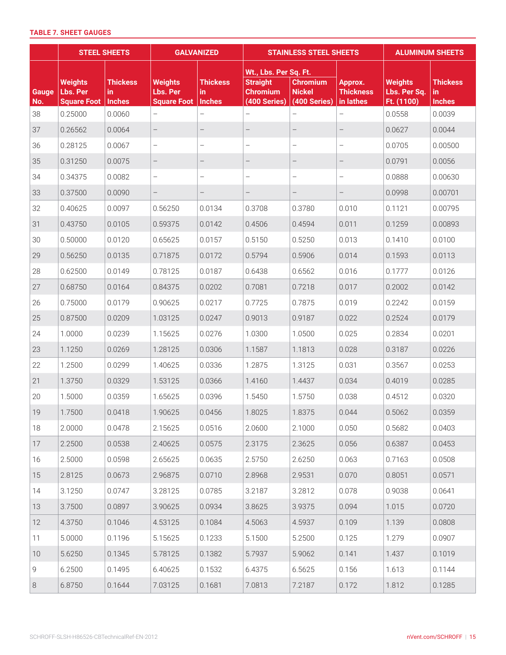# **TABLE 7. SHEET GAUGES**

|              | <b>STEEL SHEETS</b>                              |                                         | <b>GALVANIZED</b>                                |                                         | <b>STAINLESS STEEL SHEETS</b>                                               |                                                  |                                          | <b>ALUMINUM SHEETS</b>                       |                                         |
|--------------|--------------------------------------------------|-----------------------------------------|--------------------------------------------------|-----------------------------------------|-----------------------------------------------------------------------------|--------------------------------------------------|------------------------------------------|----------------------------------------------|-----------------------------------------|
| Gauge<br>No. | <b>Weights</b><br>Lbs. Per<br><b>Square Foot</b> | <b>Thickess</b><br>in.<br><b>Inches</b> | <b>Weights</b><br>Lbs. Per<br><b>Square Foot</b> | <b>Thickess</b><br>in.<br><b>Inches</b> | Wt., Lbs. Per Sq. Ft.<br><b>Straight</b><br><b>Chromium</b><br>(400 Series) | <b>Chromium</b><br><b>Nickel</b><br>(400 Series) | Approx.<br><b>Thickness</b><br>in lathes | <b>Weights</b><br>Lbs. Per Sq.<br>Ft. (1100) | <b>Thickess</b><br>in.<br><b>Inches</b> |
| 38           | 0.25000                                          | 0.0060                                  | $\qquad \qquad -$                                | $\overline{\phantom{0}}$                | $\qquad \qquad -$                                                           |                                                  | $\qquad \qquad -$                        | 0.0558                                       | 0.0039                                  |
| 37           | 0.26562                                          | 0.0064                                  | $\qquad \qquad -$                                | $\overline{\phantom{0}}$                | $\qquad \qquad -$                                                           |                                                  |                                          | 0.0627                                       | 0.0044                                  |
| 36           | 0.28125                                          | 0.0067                                  | $\overline{\phantom{0}}$                         | -                                       | $\qquad \qquad -$                                                           | $\overline{\phantom{0}}$                         | $\qquad \qquad -$                        | 0.0705                                       | 0.00500                                 |
| 35           | 0.31250                                          | 0.0075                                  | $\qquad \qquad -$                                | -                                       | $\qquad \qquad -$                                                           | $\qquad \qquad -$                                | -                                        | 0.0791                                       | 0.0056                                  |
| 34           | 0.34375                                          | 0.0082                                  | $\overline{\phantom{0}}$                         | -                                       | $\overline{\phantom{0}}$                                                    | $\qquad \qquad -$                                | -                                        | 0.0888                                       | 0.00630                                 |
| 33           | 0.37500                                          | 0.0090                                  | $\qquad \qquad -$                                |                                         | $\overline{\phantom{m}}$                                                    | $\overline{\phantom{m}}$                         | $\overline{\phantom{0}}$                 | 0.0998                                       | 0.00701                                 |
| 32           | 0.40625                                          | 0.0097                                  | 0.56250                                          | 0.0134                                  | 0.3708                                                                      | 0.3780                                           | 0.010                                    | 0.1121                                       | 0.00795                                 |
| 31           | 0.43750                                          | 0.0105                                  | 0.59375                                          | 0.0142                                  | 0.4506                                                                      | 0.4594                                           | 0.011                                    | 0.1259                                       | 0.00893                                 |
| 30           | 0.50000                                          | 0.0120                                  | 0.65625                                          | 0.0157                                  | 0.5150                                                                      | 0.5250                                           | 0.013                                    | 0.1410                                       | 0.0100                                  |
| 29           | 0.56250                                          | 0.0135                                  | 0.71875                                          | 0.0172                                  | 0.5794                                                                      | 0.5906                                           | 0.014                                    | 0.1593                                       | 0.0113                                  |
| 28           | 0.62500                                          | 0.0149                                  | 0.78125                                          | 0.0187                                  | 0.6438                                                                      | 0.6562                                           | 0.016                                    | 0.1777                                       | 0.0126                                  |
| 27           | 0.68750                                          | 0.0164                                  | 0.84375                                          | 0.0202                                  | 0.7081                                                                      | 0.7218                                           | 0.017                                    | 0.2002                                       | 0.0142                                  |
| 26           | 0.75000                                          | 0.0179                                  | 0.90625                                          | 0.0217                                  | 0.7725                                                                      | 0.7875                                           | 0.019                                    | 0.2242                                       | 0.0159                                  |
| 25           | 0.87500                                          | 0.0209                                  | 1.03125                                          | 0.0247                                  | 0.9013                                                                      | 0.9187                                           | 0.022                                    | 0.2524                                       | 0.0179                                  |
| 24           | 1.0000                                           | 0.0239                                  | 1.15625                                          | 0.0276                                  | 1.0300                                                                      | 1.0500                                           | 0.025                                    | 0.2834                                       | 0.0201                                  |
| 23           | 1.1250                                           | 0.0269                                  | 1.28125                                          | 0.0306                                  | 1.1587                                                                      | 1.1813                                           | 0.028                                    | 0.3187                                       | 0.0226                                  |
| 22           | 1.2500                                           | 0.0299                                  | 1.40625                                          | 0.0336                                  | 1.2875                                                                      | 1.3125                                           | 0.031                                    | 0.3567                                       | 0.0253                                  |
| 21           | 1.3750                                           | 0.0329                                  | 1.53125                                          | 0.0366                                  | 1.4160                                                                      | 1.4437                                           | 0.034                                    | 0.4019                                       | 0.0285                                  |
| 20           | 1.5000                                           | 0.0359                                  | 1.65625                                          | 0.0396                                  | 1.5450                                                                      | 1.5750                                           | 0.038                                    | 0.4512                                       | 0.0320                                  |
| 19           | 1.7500                                           | 0.0418                                  | 1.90625                                          | 0.0456                                  | 1.8025                                                                      | 1.8375                                           | 0.044                                    | 0.5062                                       | 0.0359                                  |
| 18           | 2.0000                                           | 0.0478                                  | 2.15625                                          | 0.0516                                  | 2.0600                                                                      | 2.1000                                           | 0.050                                    | 0.5682                                       | 0.0403                                  |
| 17           | 2.2500                                           | 0.0538                                  | 2.40625                                          | 0.0575                                  | 2.3175                                                                      | 2.3625                                           | 0.056                                    | 0.6387                                       | 0.0453                                  |
| 16           | 2.5000                                           | 0.0598                                  | 2.65625                                          | 0.0635                                  | 2.5750                                                                      | 2.6250                                           | 0.063                                    | 0.7163                                       | 0.0508                                  |
| 15           | 2.8125                                           | 0.0673                                  | 2.96875                                          | 0.0710                                  | 2.8968                                                                      | 2.9531                                           | 0.070                                    | 0.8051                                       | 0.0571                                  |
| 14           | 3.1250                                           | 0.0747                                  | 3.28125                                          | 0.0785                                  | 3.2187                                                                      | 3.2812                                           | 0.078                                    | 0.9038                                       | 0.0641                                  |
| 13           | 3.7500                                           | 0.0897                                  | 3.90625                                          | 0.0934                                  | 3.8625                                                                      | 3.9375                                           | 0.094                                    | 1.015                                        | 0.0720                                  |
| 12           | 4.3750                                           | 0.1046                                  | 4.53125                                          | 0.1084                                  | 4.5063                                                                      | 4.5937                                           | 0.109                                    | 1.139                                        | 0.0808                                  |
| 11           | 5.0000                                           | 0.1196                                  | 5.15625                                          | 0.1233                                  | 5.1500                                                                      | 5.2500                                           | 0.125                                    | 1.279                                        | 0.0907                                  |
| 10           | 5.6250                                           | 0.1345                                  | 5.78125                                          | 0.1382                                  | 5.7937                                                                      | 5.9062                                           | 0.141                                    | 1.437                                        | 0.1019                                  |
| 9            | 6.2500                                           | 0.1495                                  | 6.40625                                          | 0.1532                                  | 6.4375                                                                      | 6.5625                                           | 0.156                                    | 1.613                                        | 0.1144                                  |
| 8            | 6.8750                                           | 0.1644                                  | 7.03125                                          | 0.1681                                  | 7.0813                                                                      | 7.2187                                           | 0.172                                    | 1.812                                        | 0.1285                                  |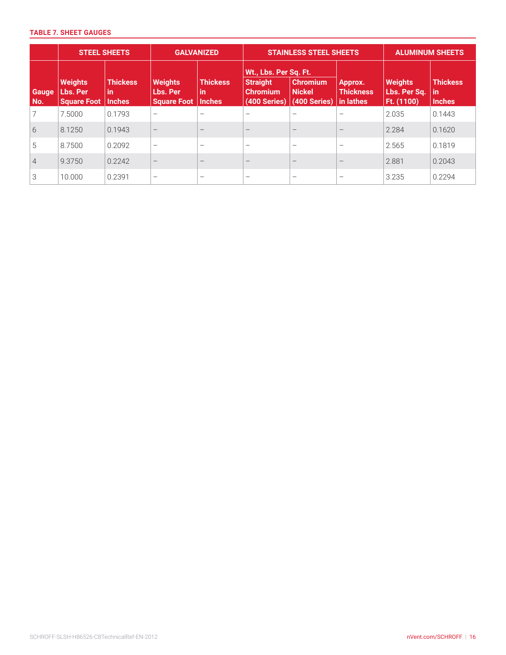## **TABLE 7. SHEET GAUGES**

|              | <b>STEEL SHEETS</b>                              |                                        | <b>GALVANIZED</b>                                |                                        |                                                                             | <b>STAINLESS STEEL SHEETS</b>                    | <b>ALUMINUM SHEETS</b>                   |                                              |                                          |
|--------------|--------------------------------------------------|----------------------------------------|--------------------------------------------------|----------------------------------------|-----------------------------------------------------------------------------|--------------------------------------------------|------------------------------------------|----------------------------------------------|------------------------------------------|
| Gauge<br>No. | <b>Weights</b><br>Lbs. Per<br><b>Square Foot</b> | <b>Thickess</b><br>in<br><b>Inches</b> | <b>Weights</b><br>Lbs. Per<br><b>Square Foot</b> | <b>Thickess</b><br>in<br><b>Inches</b> | Wt., Lbs. Per Sq. Ft.<br><b>Straight</b><br><b>Chromium</b><br>(400 Series) | <b>Chromium</b><br><b>Nickel</b><br>(400 Series) | Approx.<br><b>Thickness</b><br>in lathes | <b>Weights</b><br>Lbs. Per Sq.<br>Ft. (1100) | <b>Thickess</b><br>  in<br><b>Inches</b> |
|              | 7.5000                                           | 0.1793                                 |                                                  | $\overline{\phantom{0}}$               | $\overline{\phantom{0}}$                                                    |                                                  |                                          | 2.035                                        | 0.1443                                   |
| 6            | 8.1250                                           | 0.1943                                 |                                                  | $\overline{\phantom{0}}$               | $\overline{\phantom{0}}$                                                    | $\qquad \qquad -$                                | $\qquad \qquad -$                        | 2.284                                        | 0.1620                                   |
| 5            | 8.7500                                           | 0.2092                                 | $\qquad \qquad -$                                | $\overline{\phantom{0}}$               | $\overline{\phantom{0}}$                                                    | $\qquad \qquad -$                                | $\qquad \qquad -$                        | 2.565                                        | 0.1819                                   |
| 4            | 9.3750                                           | 0.2242                                 |                                                  | $\qquad \qquad$                        | $\overline{\phantom{0}}$                                                    | $\overline{\phantom{m}}$                         | $\qquad \qquad -$                        | 2.881                                        | 0.2043                                   |
| 3            | 10.000                                           | 0.2391                                 | $\overline{\phantom{m}}$                         |                                        | $\overline{\phantom{0}}$                                                    |                                                  |                                          | 3.235                                        | 0.2294                                   |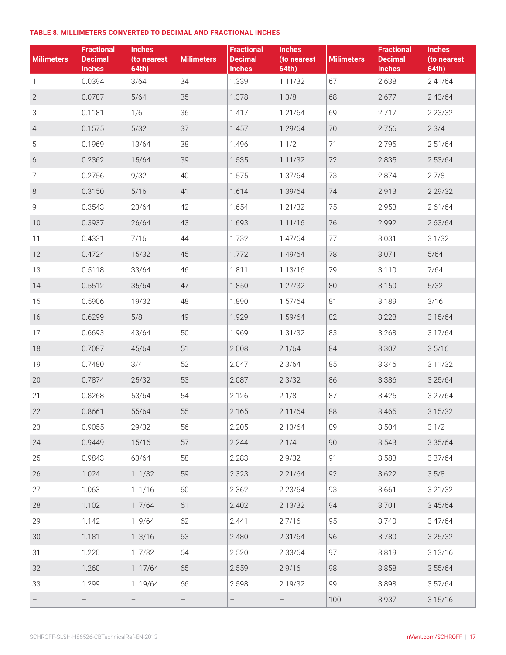#### **TABLE 8. MILLIMETERS CONVERTED TO DECIMAL AND FRACTIONAL INCHES**

| <b>Milimeters</b> | <b>Fractional</b><br><b>Decimal</b><br><b>Inches</b> | <b>Inches</b><br>(to nearest<br>64th) | <b>Milimeters</b> | <b>Fractional</b><br><b>Decimal</b><br><b>Inches</b> | <b>Inches</b><br>(to nearest<br>64th) | <b>Milimeters</b> | <b>Fractional</b><br><b>Decimal</b><br><b>Inches</b> | <b>Inches</b><br>(to nearest<br>64th) |
|-------------------|------------------------------------------------------|---------------------------------------|-------------------|------------------------------------------------------|---------------------------------------|-------------------|------------------------------------------------------|---------------------------------------|
| 1                 | 0.0394                                               | 3/64                                  | 34                | 1.339                                                | 1 1 1 / 3 2                           | 67                | 2.638                                                | 2 41/64                               |
| $\overline{2}$    | 0.0787                                               | $5/64$                                | 35                | 1.378                                                | 13/8                                  | 68                | 2.677                                                | 243/64                                |
| 3                 | 0.1181                                               | 1/6                                   | 36                | 1.417                                                | 1 21/64                               | 69                | 2.717                                                | 2 2 3 / 3 2                           |
| $\overline{4}$    | 0.1575                                               | $5/32$                                | 37                | 1.457                                                | 1 29/64                               | 70                | 2.756                                                | 23/4                                  |
| 5                 | 0.1969                                               | 13/64                                 | 38                | 1.496                                                | 11/2                                  | 71                | 2.795                                                | 2 51/64                               |
| $6\,$             | 0.2362                                               | 15/64                                 | 39                | 1.535                                                | 1 1 1 / 3 2                           | 72                | 2.835                                                | 2 53/64                               |
| 7                 | 0.2756                                               | 9/32                                  | 40                | 1.575                                                | 1 37/64                               | 73                | 2.874                                                | 27/8                                  |
| $\,8\,$           | 0.3150                                               | 5/16                                  | 41                | 1.614                                                | 1 39/64                               | 74                | 2.913                                                | 2 2 9 / 3 2                           |
| 9                 | 0.3543                                               | 23/64                                 | 42                | 1.654                                                | 1 21/32                               | 75                | 2.953                                                | 261/64                                |
| 10                | 0.3937                                               | 26/64                                 | 43                | 1.693                                                | 1 1 1 / 1 6                           | 76                | 2.992                                                | 2 63/64                               |
| 11                | 0.4331                                               | 7/16                                  | 44                | 1.732                                                | 1 47/64                               | 77                | 3.031                                                | 31/32                                 |
| 12                | 0.4724                                               | 15/32                                 | 45                | 1.772                                                | 1 49/64                               | 78                | 3.071                                                | $5/64$                                |
| 13                | 0.5118                                               | 33/64                                 | 46                | 1.811                                                | 1 13/16                               | 79                | 3.110                                                | 7/64                                  |
| 14                | 0.5512                                               | 35/64                                 | 47                | 1.850                                                | 1 27/32                               | 80                | 3.150                                                | $5/32$                                |
| 15                | 0.5906                                               | 19/32                                 | 48                | 1.890                                                | 1 57/64                               | 81                | 3.189                                                | 3/16                                  |
| 16                | 0.6299                                               | 5/8                                   | 49                | 1.929                                                | 1 59/64                               | 82                | 3.228                                                | 3 1 5/64                              |
| 17                | 0.6693                                               | 43/64                                 | 50                | 1.969                                                | 1 31/32                               | 83                | 3.268                                                | 3 17/64                               |
| 18                | 0.7087                                               | 45/64                                 | 51                | 2.008                                                | 21/64                                 | 84                | 3.307                                                | 35/16                                 |
| 19                | 0.7480                                               | 3/4                                   | 52                | 2.047                                                | 23/64                                 | 85                | 3.346                                                | 3 11/32                               |
| 20                | 0.7874                                               | 25/32                                 | 53                | 2.087                                                | 23/32                                 | 86                | 3.386                                                | 3 2 5/64                              |
| 21                | 0.8268                                               | 53/64                                 | 54                | 2.126                                                | 21/8                                  | 87                | 3.425                                                | 3 27/64                               |
| 22                | 0.8661                                               | 55/64                                 | 55                | 2.165                                                | 2 11/64                               | 88                | 3.465                                                | 3 1 5 / 3 2                           |
| 23                | 0.9055                                               | 29/32                                 | 56                | 2.205                                                | 2 13/64                               | 89                | 3.504                                                | 31/2                                  |
| 24                | 0.9449                                               | 15/16                                 | 57                | 2.244                                                | 21/4                                  | 90                | 3.543                                                | 3 3 5 / 6 4                           |
| 25                | 0.9843                                               | 63/64                                 | 58                | 2.283                                                | 29/32                                 | 91                | 3.583                                                | 3 37/64                               |
| 26                | 1.024                                                | 11/32                                 | 59                | 2.323                                                | 2 2 1/64                              | 92                | 3.622                                                | 35/8                                  |
| 27                | 1.063                                                | 11/16                                 | 60                | 2.362                                                | 2 2 3 / 6 4                           | 93                | 3.661                                                | 3 21/32                               |
| 28                | 1.102                                                | 17/64                                 | 61                | 2.402                                                | 2 13/32                               | 94                | 3.701                                                | 3 4 5 / 6 4                           |
| 29                | 1.142                                                | 19/64                                 | 62                | 2.441                                                | 27/16                                 | 95                | 3.740                                                | 3 47/64                               |
| 30                | 1.181                                                | 13/16                                 | 63                | 2.480                                                | 2 3 1 / 64                            | 96                | 3.780                                                | 3 2 5 / 3 2                           |
| 31                | 1.220                                                | 17/32                                 | 64                | 2.520                                                | 2 3 3 / 6 4                           | 97                | 3.819                                                | 3 13/16                               |
| 32                | 1.260                                                | 1 17/64                               | 65                | 2.559                                                | 29/16                                 | 98                | 3.858                                                | 3 55/64                               |
| 33                | 1.299                                                | 1 19/64                               | 66                | 2.598                                                | 2 19/32                               | 99                | 3.898                                                | 357/64                                |
|                   | $\qquad \qquad -$                                    | $\overline{\phantom{0}}$              | $\qquad \qquad -$ | $\overline{\phantom{0}}$                             | $\qquad \qquad -$                     | 100               | 3.937                                                | 3 1 5 / 1 6                           |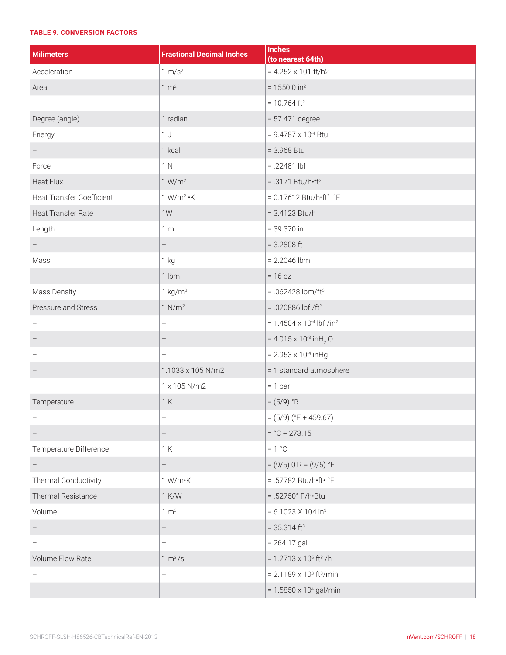# **TABLE 9. CONVERSION FACTORS**

| <b>Milimeters</b>                | <b>Fractional Decimal Inches</b> | <b>Inches</b><br>(to nearest 64th)             |
|----------------------------------|----------------------------------|------------------------------------------------|
| Acceleration                     | 1 m/s <sup>2</sup>               | $= 4.252 \times 101$ ft/h2                     |
| Area                             | 1 m <sup>2</sup>                 | $= 1550.0$ in <sup>2</sup>                     |
| -                                | $\qquad \qquad -$                | $= 10.764$ ft <sup>2</sup>                     |
| Degree (angle)                   | 1 radian                         | $= 57.471$ degree                              |
| Energy                           | 1J                               | $= 9.4787 \times 10^{-4}$ Btu                  |
| $\overline{\phantom{0}}$         | 1 kcal                           | $= 3.968$ Btu                                  |
| Force                            | 1 N                              | $= .22481$ lbf                                 |
| <b>Heat Flux</b>                 | 1 W/m <sup>2</sup>               | $= .3171 Btu/h·ft2$                            |
| <b>Heat Transfer Coefficient</b> | $1 W/m^2 \cdot K$                | $= 0.17612$ Btu/h•ft <sup>2</sup> . °F         |
| Heat Transfer Rate               | 1W                               | $= 3.4123$ Btu/h                               |
| Length                           | 1 <sub>m</sub>                   | $= 39.370$ in                                  |
|                                  | $\qquad \qquad -$                | $= 3.2808$ ft                                  |
| Mass                             | 1 <sub>kg</sub>                  | $= 2.2046$ lbm                                 |
|                                  | $1$ lbm                          | $= 16 oz$                                      |
| Mass Density                     | $1 \text{ kg/m}^3$               | $= .062428$ lbm/ft <sup>3</sup>                |
| Pressure and Stress              | 1 N/m <sup>2</sup>               | $= .020886$ lbf /ft <sup>2</sup>               |
|                                  | $\qquad \qquad -$                | $= 1.4504 \times 10^{-4}$ lbf /in <sup>2</sup> |
|                                  | $\overline{\phantom{m}}$         | = 4.015 x 10 <sup>-3</sup> in H <sub>2</sub> O |
|                                  | $\overline{\phantom{0}}$         | $= 2.953 \times 10^{-4}$ in Hg                 |
|                                  | 1.1033 x 105 N/m2                | = 1 standard atmosphere                        |
| -                                | 1 x 105 N/m2                     | $= 1 bar$                                      |
| Temperature                      | 1K                               | $= (5/9) °R$                                   |
|                                  |                                  | $= (5/9)$ (°F + 459.67)                        |
| —                                | $\qquad \qquad -$                | $=$ °C + 273.15                                |
| Temperature Difference           | 1K                               | $= 1 °C$                                       |
| $\overline{\phantom{0}}$         | $\qquad \qquad -$                | $= (9/5) 0 R = (9/5) °F$                       |
| Thermal Conductivity             | $1 W/m-K$                        | = .57782 Btu/h•ft• °F                          |
| Thermal Resistance               | 1 K/W                            | $= .52750^{\circ} F/h \cdot Btu$               |
| Volume                           | 1 m <sup>3</sup>                 | $= 6.1023 \times 104$ in <sup>3</sup>          |
|                                  |                                  | $= 35.314$ ft <sup>3</sup>                     |
| $\overline{\phantom{0}}$         | $\qquad \qquad -$                | $= 264.17$ gal                                 |
| Volume Flow Rate                 | 1 m <sup>3</sup> /s              | $= 1.2713 \times 10^{5}$ ft <sup>3</sup> /h    |
| -                                | $\qquad \qquad -$                | $= 2.1189 \times 10^{3}$ ft <sup>3</sup> /min  |
|                                  | $\qquad \qquad -$                | $= 1.5850 \times 10^{4}$ gal/min               |